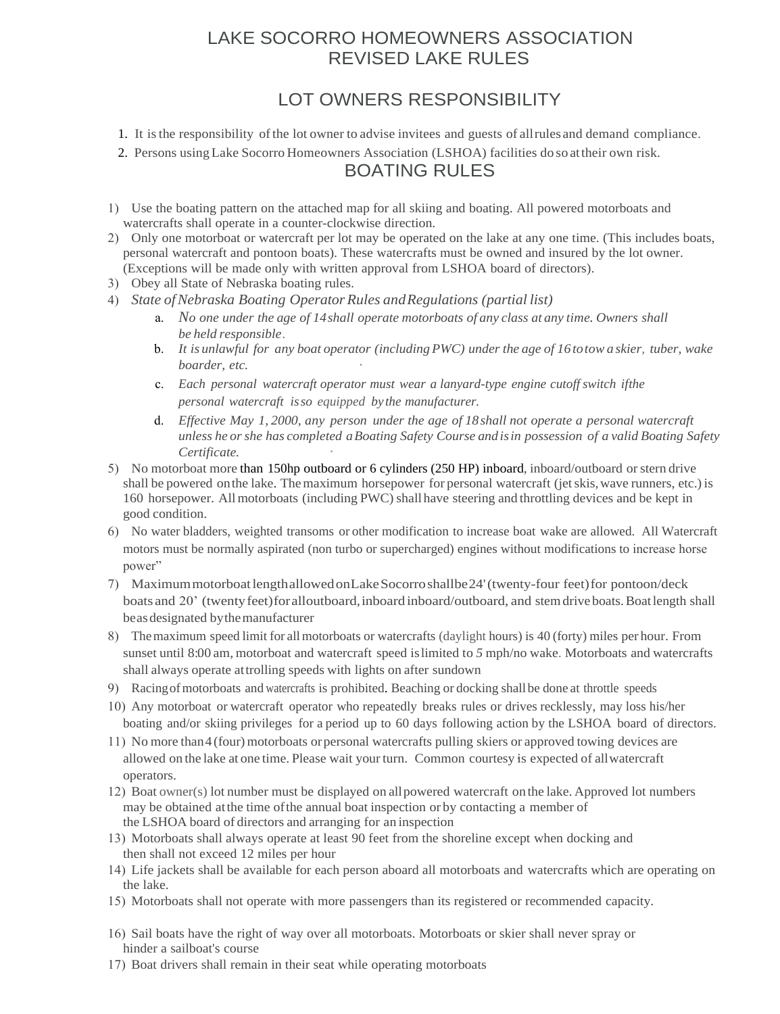### LAKE SOCORRO HOMEOWNERS ASSOCIATION REVISED LAKE RULES

## LOT OWNERS RESPONSIBILITY

- 1. It is the responsibility of the lot owner to advise invitees and guests of allrules and demand compliance.
- 2. Persons using Lake Socorro Homeowners Association (LSHOA) facilities do so at their own risk. BOATING RULES
- 1) Use the boating pattern on the attached map for all skiing and boating. All powered motorboats and watercrafts shall operate in a counter-clockwise direction.
- 2) Only one motorboat or watercraft per lot may be operated on the lake at any one time. (This includes boats, personal watercraft and pontoon boats). These watercrafts must be owned and insured by the lot owner. (Exceptions will be made only with written approval from LSHOA board of directors).
- 3) Obey all State of Nebraska boating rules.
- 4) *State ofNebraska Boating Operator Rules andRegulations (partial list)*
	- a. *No one under the age of 14shall operate motorboats of any class at any time. Owners shall be held responsible.*
	- b. *It is unlawful for any boat operator (including PWC) under the age of 16totow a skier, tuber, wake boarder, etc.*
	- c. *Each personal watercraft operator must wear a lanyard-type engine cutoff switch ifthe personal watercraft isso equipped by the manufacturer.*
	- d. *Effective May 1, 2000, any person under the age of 18shall not operate a personal watercraft unless he orshe has completed a Boating Safety Course and isin possession of a valid Boating Safety*   $C$ *ertificate.*
- 5) No motorboat more than 150hp outboard or 6 cylinders (250 HP) inboard, inboard/outboard orstern drive shall be powered onthe lake. The maximum horsepower for personal watercraft (jet skis, wave runners, etc.) is 160 horsepower. Allmotorboats (including PWC) shall have steering and throttling devices and be kept in good condition.
- 6) No water bladders, weighted transoms or other modification to increase boat wake are allowed. All Watercraft motors must be normally aspirated (non turbo or supercharged) engines without modifications to increase horse power"
- 7) Maximum motorboat length allowed onLake Socorro shall be24'(twenty-four feet) for pontoon/deck boats and 20' (twenty feet) for all outboard, inboard inboard/outboard, and stem drive boats. Boat length shall beasdesignated bythe manufacturer
- 8) The maximum speed limit for all motorboats or watercrafts (daylight hours) is 40 (forty) miles per hour. From sunset until 8:00 am, motorboat and watercraft speed islimited to 5 mph/no wake. Motorboats and watercrafts shall always operate attrolling speeds with lights on after sundown
- 9) Racing ofmotorboats and watercrafts is prohibited. Beaching or docking shall be done at throttle speeds
- 10) Any motorboat or watercraft operator who repeatedly breaks rules or drives recklessly, may loss his/her boating and/or skiing privileges for a period up to 60 days following action by the LSHOA board of directors.
- 11) No more than 4 (four) motorboats orpersonal watercrafts pulling skiers or approved towing devices are allowed on the lake at one time. Please wait your turn. Common courtesy is expected of all watercraft operators.
- 12) Boat owner(s) lot number must be displayed on all powered watercraft on the lake. Approved lot numbers may be obtained atthe time ofthe annual boat inspection or by contacting a member of the LSHOA board of directors and arranging for an inspection
- 13) Motorboats shall always operate at least 90 feet from the shoreline except when docking and then shall not exceed 12 miles per hour
- 14) Life jackets shall be available for each person aboard all motorboats and watercrafts which are operating on the lake.
- 15) Motorboats shall not operate with more passengers than its registered or recommended capacity.
- 16) Sail boats have the right of way over all motorboats. Motorboats or skier shall never spray or hinder a sailboat's course
- 17) Boat drivers shall remain in their seat while operating motorboats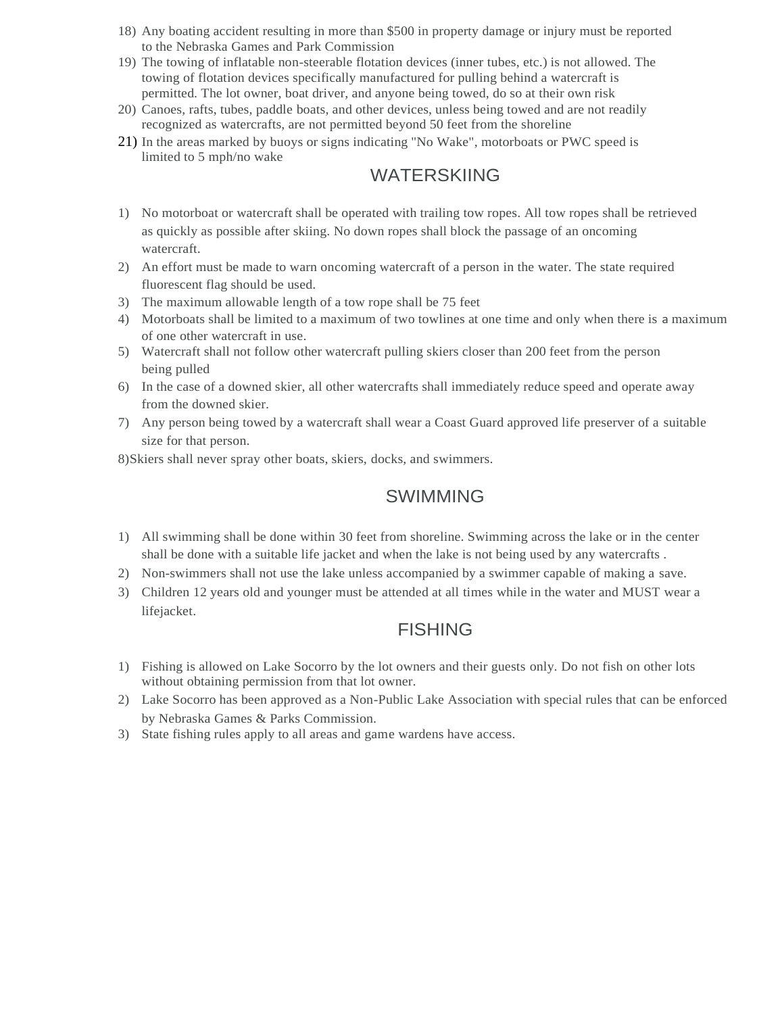- 18) Any boating accident resulting in more than \$500 in property damage or injury must be reported to the Nebraska Games and Park Commission
- 19) The towing of inflatable non-steerable flotation devices (inner tubes, etc.) is not allowed. The towing of flotation devices specifically manufactured for pulling behind a watercraft is permitted. The lot owner, boat driver, and anyone being towed, do so at their own risk
- 20) Canoes, rafts, tubes, paddle boats, and other devices, unless being towed and are not readily recognized as watercrafts, are not permitted beyond 50 feet from the shoreline
- 21) In the areas marked by buoys or signs indicating ''No Wake", motorboats or PWC speed is limited to 5 mph/no wake

### WATERSKIING

- 1) No motorboat or watercraft shall be operated with trailing tow ropes. All tow ropes shall be retrieved as quickly as possible after skiing. No down ropes shall block the passage of an oncoming watercraft.
- 2) An effort must be made to warn oncoming watercraft of a person in the water. The state required fluorescent flag should be used.
- 3) The maximum allowable length of a tow rope shall be 75 feet
- 4) Motorboats shall be limited to a maximum of two towlines at one time and only when there is a maximum of one other watercraft in use.
- 5) Watercraft shall not follow other watercraft pulling skiers closer than 200 feet from the person being pulled
- 6) In the case of a downed skier, all other watercrafts shall immediately reduce speed and operate away from the downed skier.
- 7) Any person being towed by a watercraft shall wear a Coast Guard approved life preserver of a suitable size for that person.

8)Skiers shall never spray other boats, skiers, docks, and swimmers.

### **SWIMMING**

- 1) All swimming shall be done within 30 feet from shoreline. Swimming across the lake or in the center shall be done with a suitable life jacket and when the lake is not being used by any watercrafts .
- 2) Non-swimmers shall not use the lake unless accompanied by a swimmer capable of making a save.
- 3) Children 12 years old and younger must be attended at all times while in the water and MUST wear a lifejacket.

### FISHING

- 1) Fishing is allowed on Lake Socorro by the lot owners and their guests only. Do not fish on other lots without obtaining permission from that lot owner.
- 2) Lake Socorro has been approved as a Non-Public Lake Association with special rules that can be enforced by Nebraska Games & Parks Commission.
- 3) State fishing rules apply to all areas and game wardens have access.